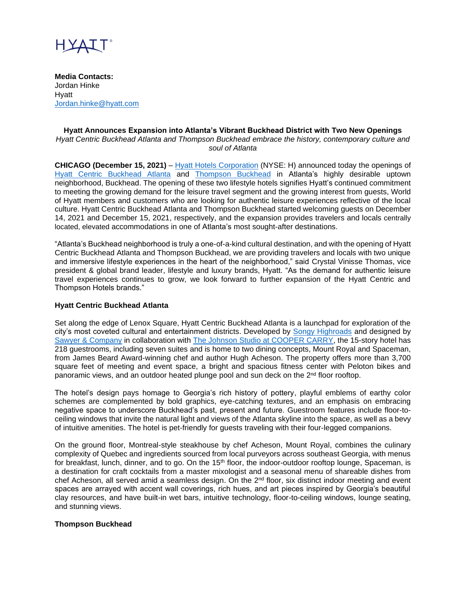

**Media Contacts:** Jordan Hinke Hyatt [Jordan.hinke@hyatt.com](mailto:Jordan.hinke@hyatt.com)

#### **Hyatt Announces Expansion into Atlanta's Vibrant Buckhead District with Two New Openings** *Hyatt Centric Buckhead Atlanta and Thompson Buckhead embrace the history, contemporary culture and soul of Atlanta*

**CHICAGO (December 15, 2021)** – [Hyatt Hotels Corporation](https://www.hyatt.com/) (NYSE: H) announced today the openings of [Hyatt Centric Buckhead Atlanta](https://www.hyatt.com/en-US/hotel/georgia/hyatt-centric-buckhead-atlanta/atlct) and [Thompson Buckhead](https://www.hyatt.com/en-US/hotel/georgia/thompson-buckhead/atlth?src=adm_sem_agn_360i_crp_ppc__google__e_thompson%20buckhead_TwoRoadProp&gclid=EAIaIQobChMI26yt8YnI9AIVofHjBx0w-gWWEAAYASAAEgKDM_D_BwE) in Atlanta's highly desirable uptown neighborhood, Buckhead. The opening of these two lifestyle hotels signifies Hyatt's continued commitment to meeting the growing demand for the leisure travel segment and the growing interest from guests, World of Hyatt members and customers who are looking for authentic leisure experiences reflective of the local culture. Hyatt Centric Buckhead Atlanta and Thompson Buckhead started welcoming guests on December 14, 2021 and December 15, 2021, respectively, and the expansion provides travelers and locals centrally located, elevated accommodations in one of Atlanta's most sought-after destinations.

"Atlanta's Buckhead neighborhood is truly a one-of-a-kind cultural destination, and with the opening of Hyatt Centric Buckhead Atlanta and Thompson Buckhead, we are providing travelers and locals with two unique and immersive lifestyle experiences in the heart of the neighborhood," said Crystal Vinisse Thomas, vice president & global brand leader, lifestyle and luxury brands, Hyatt. "As the demand for authentic leisure travel experiences continues to grow, we look forward to further expansion of the Hyatt Centric and Thompson Hotels brands."

## **Hyatt Centric Buckhead Atlanta**

Set along the edge of Lenox Square, Hyatt Centric Buckhead Atlanta is a launchpad for exploration of the city's most coveted cultural and entertainment districts. Developed by [Songy Highroads](https://songyhighroads.com/) and designed by [Sawyer & Company](https://www.sawyerco.design/) in collaboration with [The Johnson Studio at COOPER CARRY,](https://johnsonstudio.com/) the 15-story hotel has 218 guestrooms, including seven suites and is home to two dining concepts, Mount Royal and Spaceman, from James Beard Award-winning chef and author Hugh Acheson. The property offers more than 3,700 square feet of meeting and event space, a bright and spacious fitness center with Peloton bikes and panoramic views, and an outdoor heated plunge pool and sun deck on the 2nd floor rooftop.

The hotel's design pays homage to Georgia's rich history of pottery, playful emblems of earthy color schemes are complemented by bold graphics, eye-catching textures, and an emphasis on embracing negative space to underscore Buckhead's past, present and future. Guestroom features include floor-toceiling windows that invite the natural light and views of the Atlanta skyline into the space, as well as a bevy of intuitive amenities. The hotel is pet-friendly for guests traveling with their four-legged companions.

On the ground floor, Montreal-style steakhouse by chef Acheson, Mount Royal, combines the culinary complexity of Quebec and ingredients sourced from local purveyors across southeast Georgia, with menus for breakfast, lunch, dinner, and to go. On the 15<sup>th</sup> floor, the indoor-outdoor rooftop lounge, Spaceman, is a destination for craft cocktails from a master mixologist and a seasonal menu of shareable dishes from chef Acheson, all served amid a seamless design. On the 2<sup>nd</sup> floor, six distinct indoor meeting and event spaces are arrayed with accent wall coverings, rich hues, and art pieces inspired by Georgia's beautiful clay resources, and have built-in wet bars, intuitive technology, floor-to-ceiling windows, lounge seating, and stunning views.

#### **Thompson Buckhead**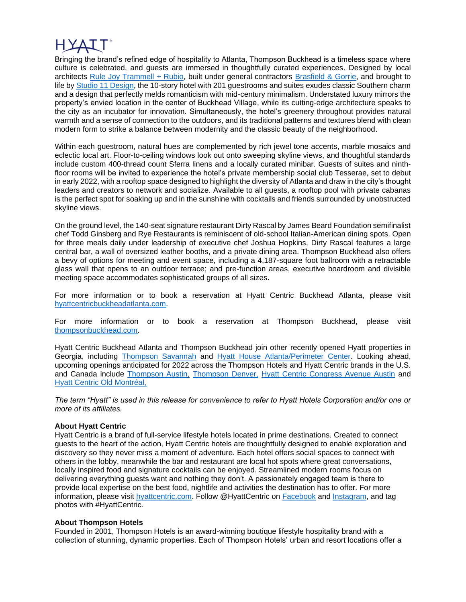Bringing the brand's refined edge of hospitality to Atlanta, Thompson Buckhead is a timeless space where culture is celebrated, and guests are immersed in thoughtfully curated experiences. Designed by local architects [Rule Joy Trammell + Rubio,](http://www.rjtplusr.com/) built under general contractors [Brasfield &](https://www.brasfieldgorrie.com/) Gorrie, and brought to life by [Studio 11 Design,](https://studio11design.com/) the 10-story hotel with 201 guestrooms and suites exudes classic Southern charm and a design that perfectly melds romanticism with mid-century minimalism. Understated luxury mirrors the property's envied location in the center of Buckhead Village, while its cutting-edge architecture speaks to the city as an incubator for innovation. Simultaneously, the hotel's greenery throughout provides natural warmth and a sense of connection to the outdoors, and its traditional patterns and textures blend with clean modern form to strike a balance between modernity and the classic beauty of the neighborhood.

Within each guestroom, natural hues are complemented by rich jewel tone accents, marble mosaics and eclectic local art. Floor-to-ceiling windows look out onto sweeping skyline views, and thoughtful standards include custom 400-thread count Sferra linens and a locally curated minibar. Guests of suites and ninthfloor rooms will be invited to experience the hotel's private membership social club Tesserae, set to debut in early 2022, with a rooftop space designed to highlight the diversity of Atlanta and draw in the city's thought leaders and creators to network and socialize. Available to all guests, a rooftop pool with private cabanas is the perfect spot for soaking up and in the sunshine with cocktails and friends surrounded by unobstructed skyline views.

On the ground level, the 140-seat signature restaurant Dirty Rascal by James Beard Foundation semifinalist chef Todd Ginsberg and Rye Restaurants is reminiscent of old-school Italian-American dining spots. Open for three meals daily under leadership of executive chef Joshua Hopkins, Dirty Rascal features a large central bar, a wall of oversized leather booths, and a private dining area. Thompson Buckhead also offers a bevy of options for meeting and event space, including a 4,187-square foot ballroom with a retractable glass wall that opens to an outdoor terrace; and pre-function areas, executive boardroom and divisible meeting space accommodates sophisticated groups of all sizes.

For more information or to book a reservation at Hyatt Centric Buckhead Atlanta, please visit [hyattcentricbuckheadatlanta.com.](http://hyattcentricbuckheadatlanta.com/)

For more information or to book a reservation at Thompson Buckhead, please visit [thompsonbuckhead.com.](http://thompsonbuckhead.com/)

Hyatt Centric Buckhead Atlanta and Thompson Buckhead join other recently opened Hyatt properties in Georgia, including [Thompson Savannah](http://thompsonsavannah.com/) and [Hyatt House Atlanta/Perimeter Center.](https://www.hyatt.com/en-US/hotel/atlanta/hyatt-house-atlanta-perimeter-center/atlxp) Looking ahead, upcoming openings anticipated for 2022 across the Thompson Hotels and Hyatt Centric brands in the U.S. and Canada include [Thompson Austin,](https://www.hyatt.com/en-US/hotel/texas/thompson-austin/austh) [Thompson Denver,](https://www.hyatt.com/en-US/hotel/colorado/thompson-denver/denth) [Hyatt Centric Congress Avenue Austin](https://www.hyatt.com/en-US/hotel/texas/hyatt-centric-congress-avenue-austin/ausct) and [Hyatt Centric Old Montréal,](https://www.hyatt.com/en-US/hotel/canada/hyatt-centric-old-montreal/yulct)

*The term "Hyatt" is used in this release for convenience to refer to Hyatt Hotels Corporation and/or one or more of its affiliates.* 

## **About Hyatt Centric**

Hyatt Centric is a brand of full-service lifestyle hotels located in prime destinations. Created to connect guests to the heart of the action, Hyatt Centric hotels are thoughtfully designed to enable exploration and discovery so they never miss a moment of adventure. Each hotel offers social spaces to connect with others in the lobby, meanwhile the bar and restaurant are local hot spots where great conversations, locally inspired food and signature cocktails can be enjoyed. Streamlined modern rooms focus on delivering everything guests want and nothing they don't. A passionately engaged team is there to provide local expertise on the best food, nightlife and activities the destination has to offer. For more information, please visit [hyattcentric.com.](https://centric.hyatt.com/en/hyattcentric.html?src=vanity_hyattcentric.com) Follow @HyattCentric on [Facebook](https://www.facebook.com/hyattcentric/?hc_ref=SEARCH&fref=nf) and [Instagram,](https://www.instagram.com/hyattcentric/) and tag photos with #HyattCentric.

## **About Thompson Hotels**

Founded in 2001, Thompson Hotels is an award-winning boutique lifestyle hospitality brand with a collection of stunning, dynamic properties. Each of Thompson Hotels' urban and resort locations offer a